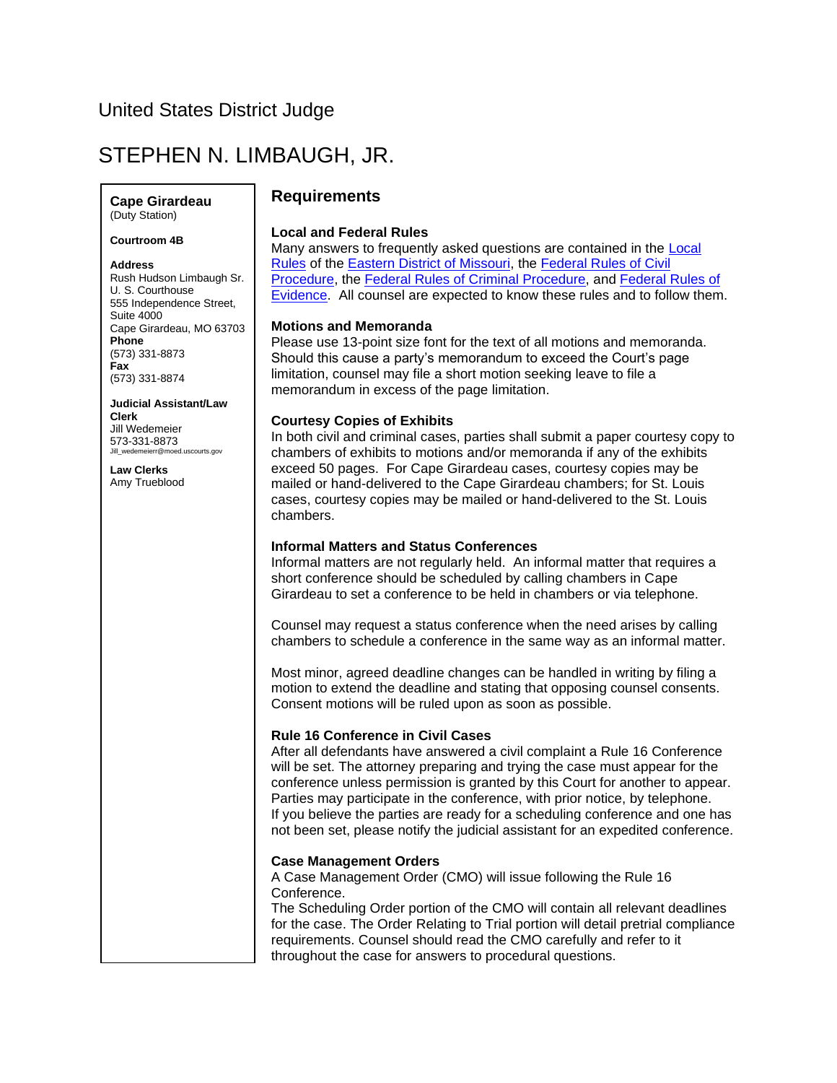## United States District Judge

# STEPHEN N. LIMBAUGH, JR.

**Cape Girardeau** (Duty Station)

**Courtroom 4B**

#### **Address**

Rush Hudson Limbaugh Sr. U. S. Courthouse 555 Independence Street, Suite 4000 Cape Girardeau, MO 63703 **Phone** (573) 331-8873 **Fax** (573) 331-8874

**Judicial Assistant/Law Clerk** Jill Wedemeier 573-331-8873 Jill\_wedemeierr@moed.uscourts.gov

**Law Clerks** Amy Trueblood

## **Requirements**

#### **Local and Federal Rules**

Many answers to frequently asked questions are contained in the [Local](http://www.moed.uscourts.gov/local-rules)  [Rules](http://www.moed.uscourts.gov/local-rules) of the [Eastern District of Missouri,](http://www.moed.uscourts.gov/) the [Federal Rules of Civil](http://www.law.cornell.edu/rules/frcp/)  [Procedure,](http://www.law.cornell.edu/rules/frcp/) the [Federal Rules of](http://www.law.cornell.edu/rules/frcrmp/) Criminal Procedure, and [Federal Rules of](http://www.law.cornell.edu/rules/fre/)  [Evidence.](http://www.law.cornell.edu/rules/fre/) All counsel are expected to know these rules and to follow them.

#### **Motions and Memoranda**

Please use 13-point size font for the text of all motions and memoranda. Should this cause a party's memorandum to exceed the Court's page limitation, counsel may file a short motion seeking leave to file a memorandum in excess of the page limitation.

## **Courtesy Copies of Exhibits**

In both civil and criminal cases, parties shall submit a paper courtesy copy to chambers of exhibits to motions and/or memoranda if any of the exhibits exceed 50 pages. For Cape Girardeau cases, courtesy copies may be mailed or hand-delivered to the Cape Girardeau chambers; for St. Louis cases, courtesy copies may be mailed or hand-delivered to the St. Louis chambers.

## **Informal Matters and Status Conferences**

Informal matters are not regularly held. An informal matter that requires a short conference should be scheduled by calling chambers in Cape Girardeau to set a conference to be held in chambers or via telephone.

Counsel may request a status conference when the need arises by calling chambers to schedule a conference in the same way as an informal matter.

Most minor, agreed deadline changes can be handled in writing by filing a motion to extend the deadline and stating that opposing counsel consents. Consent motions will be ruled upon as soon as possible.

#### **Rule 16 Conference in Civil Cases**

After all defendants have answered a civil complaint a Rule 16 Conference will be set. The attorney preparing and trying the case must appear for the conference unless permission is granted by this Court for another to appear. Parties may participate in the conference, with prior notice, by telephone. If you believe the parties are ready for a scheduling conference and one has not been set, please notify the judicial assistant for an expedited conference.

## **Case Management Orders**

A Case Management Order (CMO) will issue following the Rule 16 Conference.

The Scheduling Order portion of the CMO will contain all relevant deadlines for the case. The Order Relating to Trial portion will detail pretrial compliance requirements. Counsel should read the CMO carefully and refer to it throughout the case for answers to procedural questions.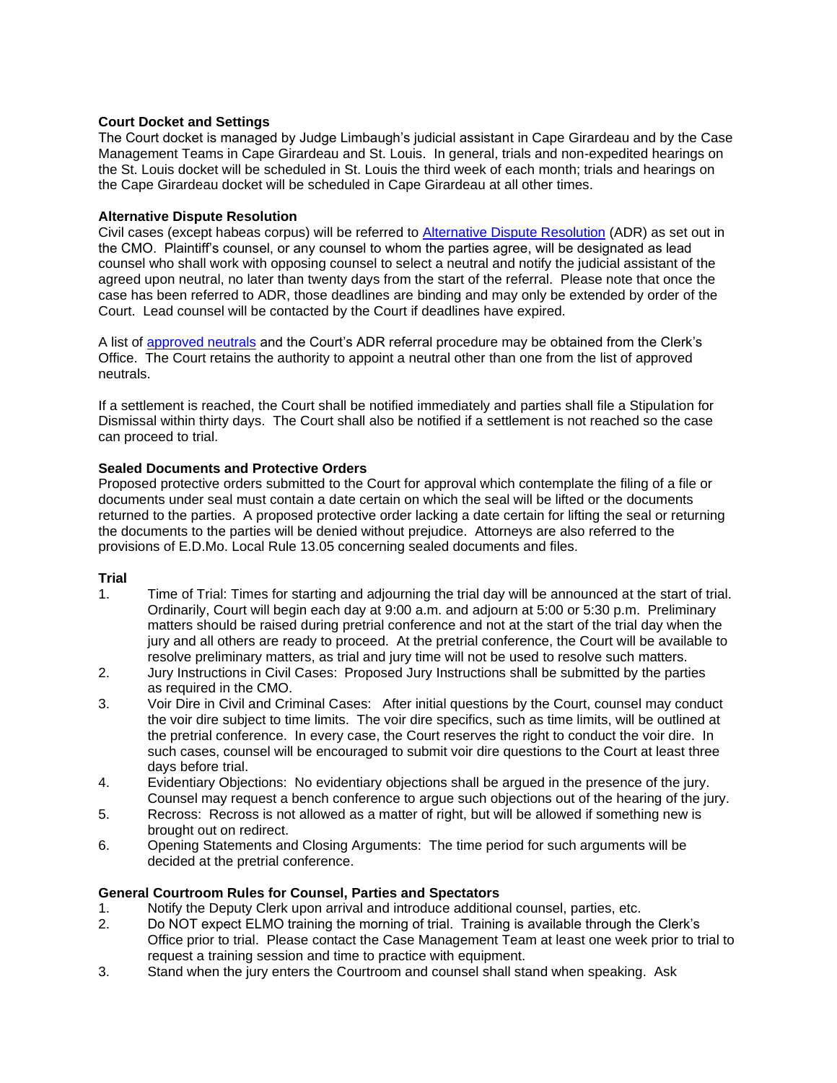## **Court Docket and Settings**

The Court docket is managed by Judge Limbaugh's judicial assistant in Cape Girardeau and by the Case Management Teams in Cape Girardeau and St. Louis. In general, trials and non-expedited hearings on the St. Louis docket will be scheduled in St. Louis the third week of each month; trials and hearings on the Cape Girardeau docket will be scheduled in Cape Girardeau at all other times.

## **Alternative Dispute Resolution**

Civil cases (except habeas corpus) will be referred to [Alternative Dispute Resolution](http://www.moed.uscourts.gov/alternative-dispute-resolution-adr) (ADR) as set out in the CMO. Plaintiff's counsel, or any counsel to whom the parties agree, will be designated as lead counsel who shall work with opposing counsel to select a neutral and notify the judicial assistant of the agreed upon neutral, no later than twenty days from the start of the referral. Please note that once the case has been referred to ADR, those deadlines are binding and may only be extended by order of the Court. Lead counsel will be contacted by the Court if deadlines have expired.

A list of [approved neutrals](http://www.moed2.uscourts.gov/adr/adrall2.asp) and the Court's ADR referral procedure may be obtained from the Clerk's Office. The Court retains the authority to appoint a neutral other than one from the list of approved neutrals.

If a settlement is reached, the Court shall be notified immediately and parties shall file a Stipulation for Dismissal within thirty days. The Court shall also be notified if a settlement is not reached so the case can proceed to trial.

## **Sealed Documents and Protective Orders**

Proposed protective orders submitted to the Court for approval which contemplate the filing of a file or documents under seal must contain a date certain on which the seal will be lifted or the documents returned to the parties. A proposed protective order lacking a date certain for lifting the seal or returning the documents to the parties will be denied without prejudice. Attorneys are also referred to the provisions of E.D.Mo. Local Rule 13.05 concerning sealed documents and files.

## **Trial**

- 1. Time of Trial: Times for starting and adjourning the trial day will be announced at the start of trial. Ordinarily, Court will begin each day at 9:00 a.m. and adjourn at 5:00 or 5:30 p.m. Preliminary matters should be raised during pretrial conference and not at the start of the trial day when the jury and all others are ready to proceed. At the pretrial conference, the Court will be available to resolve preliminary matters, as trial and jury time will not be used to resolve such matters.
- 2. Jury Instructions in Civil Cases: Proposed Jury Instructions shall be submitted by the parties as required in the CMO.
- 3. Voir Dire in Civil and Criminal Cases: After initial questions by the Court, counsel may conduct the voir dire subject to time limits. The voir dire specifics, such as time limits, will be outlined at the pretrial conference. In every case, the Court reserves the right to conduct the voir dire. In such cases, counsel will be encouraged to submit voir dire questions to the Court at least three days before trial.
- 4. Evidentiary Objections: No evidentiary objections shall be argued in the presence of the jury. Counsel may request a bench conference to argue such objections out of the hearing of the jury.
- 5. Recross: Recross is not allowed as a matter of right, but will be allowed if something new is brought out on redirect.
- 6. Opening Statements and Closing Arguments: The time period for such arguments will be decided at the pretrial conference.

## **General Courtroom Rules for Counsel, Parties and Spectators**

- 1. Notify the Deputy Clerk upon arrival and introduce additional counsel, parties, etc.
- 2. Do NOT expect ELMO training the morning of trial. Training is available through the Clerk's Office prior to trial. Please contact the Case Management Team at least one week prior to trial to request a training session and time to practice with equipment.
- 3. Stand when the jury enters the Courtroom and counsel shall stand when speaking. Ask